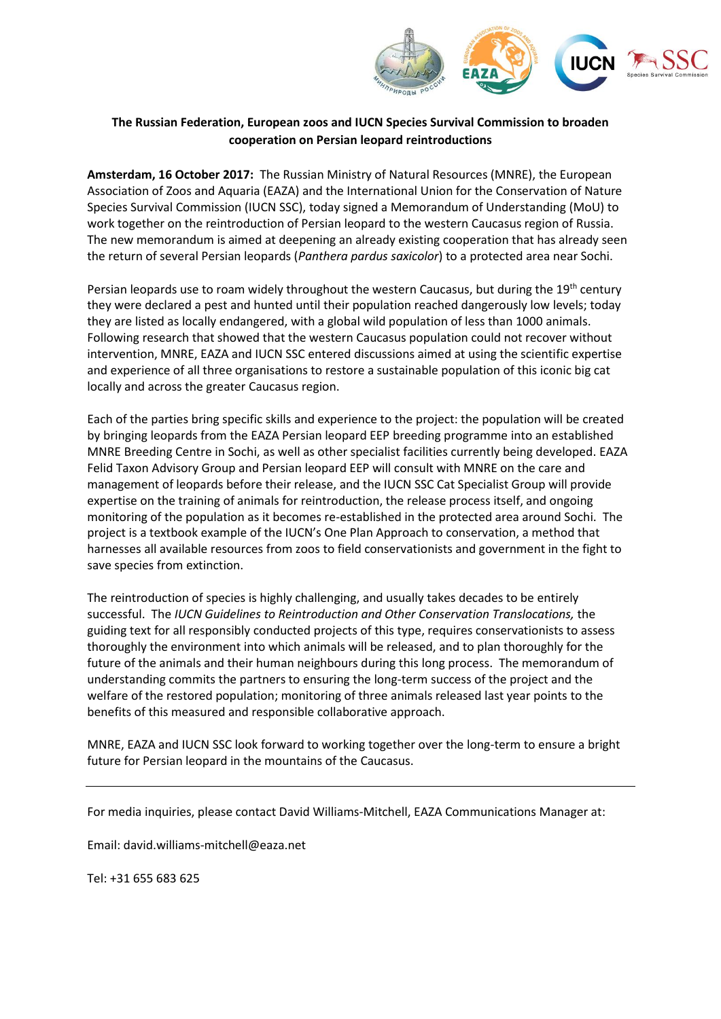

## **The Russian Federation, European zoos and IUCN Species Survival Commission to broaden cooperation on Persian leopard reintroductions**

**Amsterdam, 16 October 2017:** The Russian Ministry of Natural Resources (MNRE), the European Association of Zoos and Aquaria (EAZA) and the International Union for the Conservation of Nature Species Survival Commission (IUCN SSC), today signed a Memorandum of Understanding (MoU) to work together on the reintroduction of Persian leopard to the western Caucasus region of Russia. The new memorandum is aimed at deepening an already existing cooperation that has already seen the return of several Persian leopards (*Panthera pardus saxicolor*) to a protected area near Sochi.

Persian leopards use to roam widely throughout the western Caucasus, but during the 19<sup>th</sup> century they were declared a pest and hunted until their population reached dangerously low levels; today they are listed as locally endangered, with a global wild population of less than 1000 animals. Following research that showed that the western Caucasus population could not recover without intervention, MNRE, EAZA and IUCN SSC entered discussions aimed at using the scientific expertise and experience of all three organisations to restore a sustainable population of this iconic big cat locally and across the greater Caucasus region.

Each of the parties bring specific skills and experience to the project: the population will be created by bringing leopards from the EAZA Persian leopard EEP breeding programme into an established MNRE Breeding Centre in Sochi, as well as other specialist facilities currently being developed. EAZA Felid Taxon Advisory Group and Persian leopard EEP will consult with MNRE on the care and management of leopards before their release, and the IUCN SSC Cat Specialist Group will provide expertise on the training of animals for reintroduction, the release process itself, and ongoing monitoring of the population as it becomes re-established in the protected area around Sochi. The project is a textbook example of the IUCN's One Plan Approach to conservation, a method that harnesses all available resources from zoos to field conservationists and government in the fight to save species from extinction.

The reintroduction of species is highly challenging, and usually takes decades to be entirely successful. The *IUCN Guidelines to Reintroduction and Other Conservation Translocations,* the guiding text for all responsibly conducted projects of this type, requires conservationists to assess thoroughly the environment into which animals will be released, and to plan thoroughly for the future of the animals and their human neighbours during this long process. The memorandum of understanding commits the partners to ensuring the long-term success of the project and the welfare of the restored population; monitoring of three animals released last year points to the benefits of this measured and responsible collaborative approach.

MNRE, EAZA and IUCN SSC look forward to working together over the long-term to ensure a bright future for Persian leopard in the mountains of the Caucasus.

For media inquiries, please contact David Williams-Mitchell, EAZA Communications Manager at:

Email: david.williams-mitchell@eaza.net

Tel: +31 655 683 625